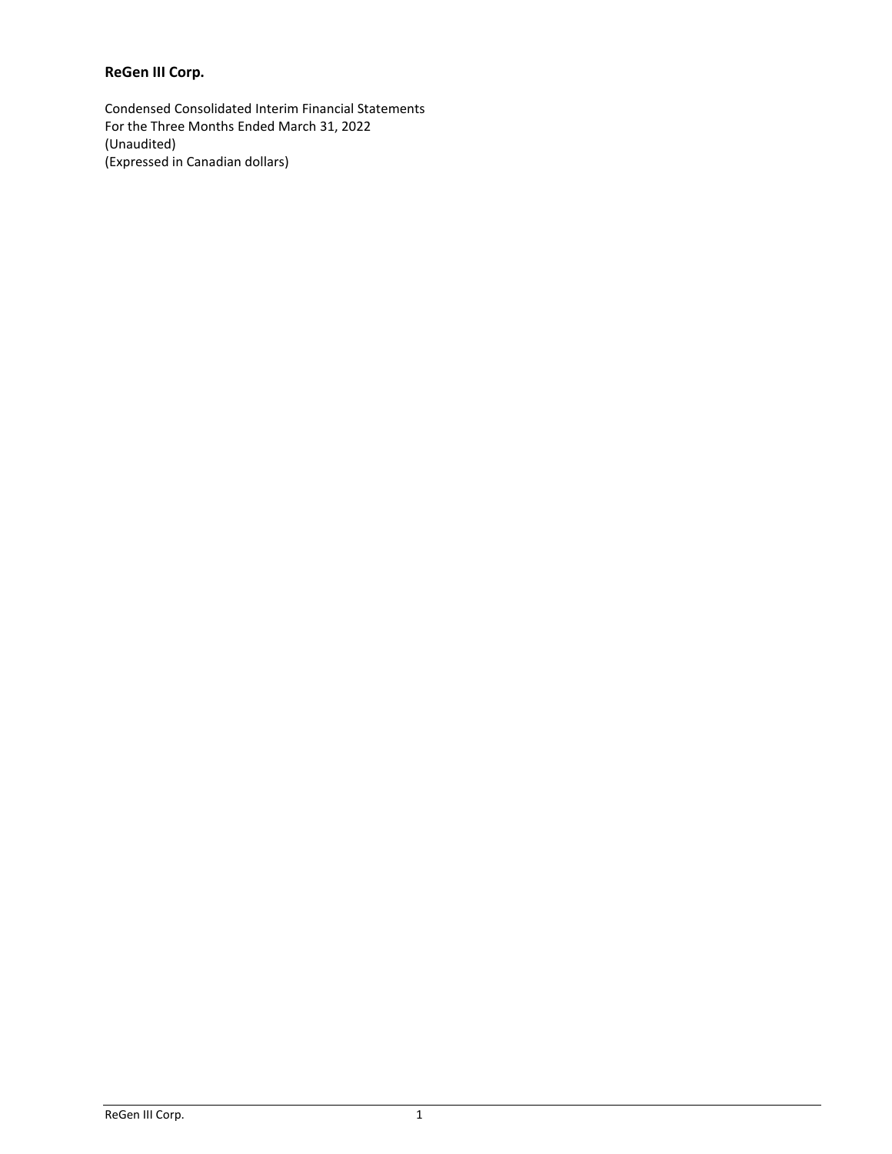# **ReGen III Corp.**

Condensed Consolidated Interim Financial Statements For the Three Months Ended March 31, 2022 (Unaudited) (Expressed in Canadian dollars)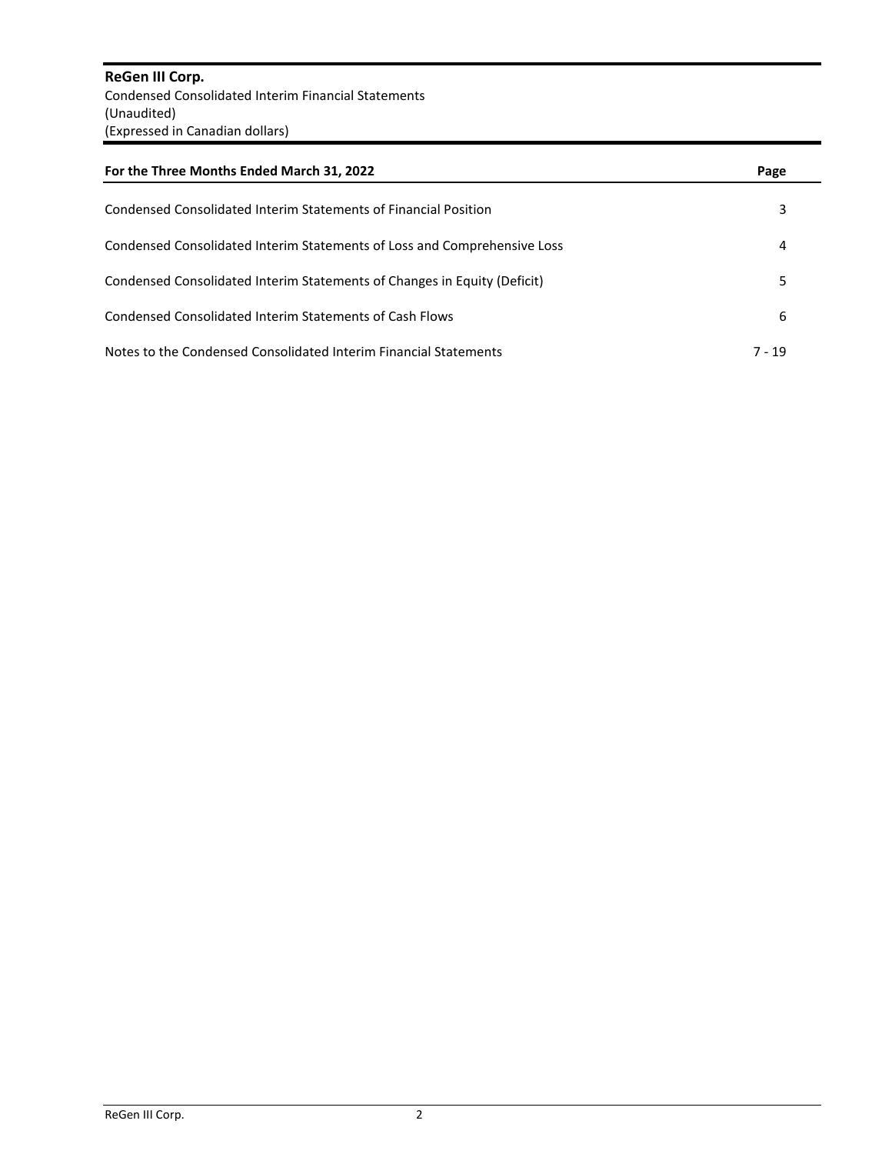**ReGen III Corp.** Condensed Consolidated Interim Financial Statements (Unaudited) (Expressed in Canadian dollars)

| For the Three Months Ended March 31, 2022                                | Page     |
|--------------------------------------------------------------------------|----------|
| Condensed Consolidated Interim Statements of Financial Position          | 3        |
| Condensed Consolidated Interim Statements of Loss and Comprehensive Loss | 4        |
| Condensed Consolidated Interim Statements of Changes in Equity (Deficit) | 5        |
| Condensed Consolidated Interim Statements of Cash Flows                  | 6        |
| Notes to the Condensed Consolidated Interim Financial Statements         | $7 - 19$ |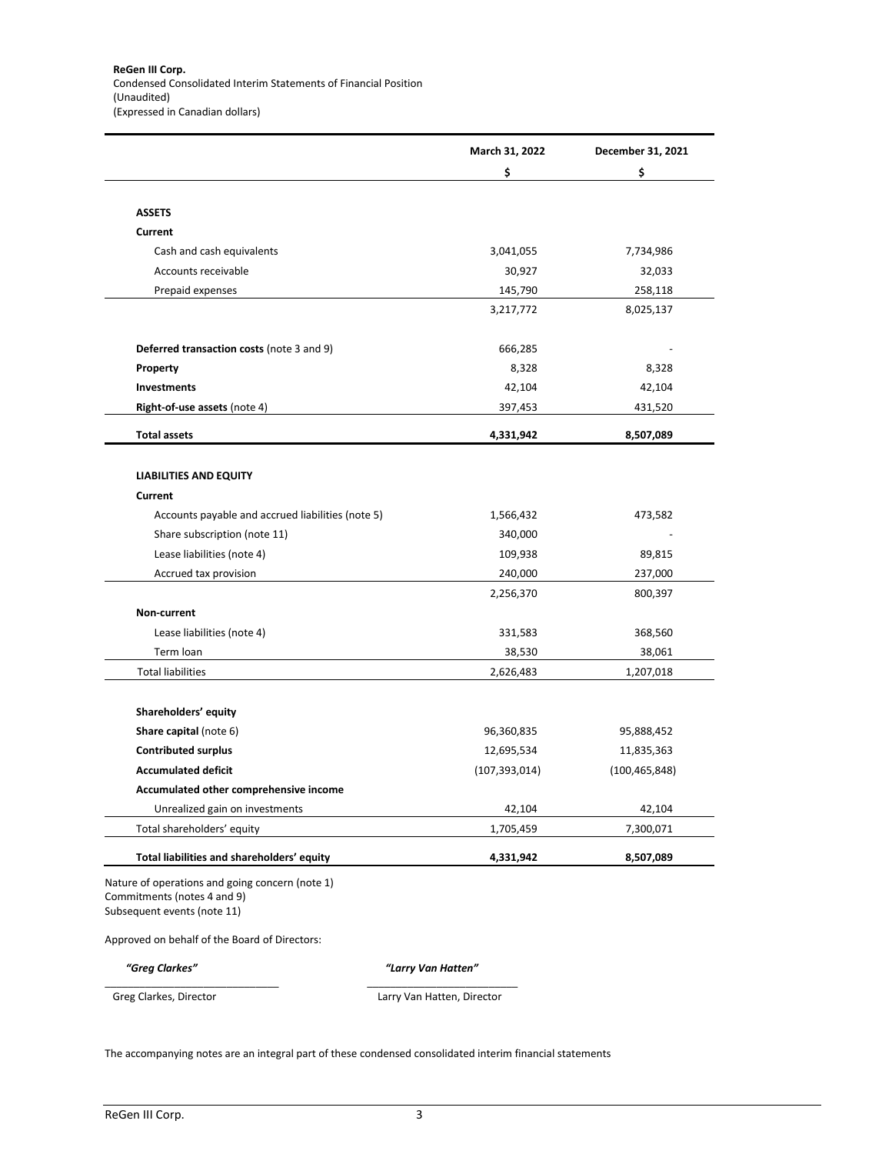|                                                                                                               | March 31, 2022       | December 31, 2021  |
|---------------------------------------------------------------------------------------------------------------|----------------------|--------------------|
|                                                                                                               | \$                   | \$                 |
|                                                                                                               |                      |                    |
| <b>ASSETS</b>                                                                                                 |                      |                    |
| Current                                                                                                       |                      |                    |
| Cash and cash equivalents                                                                                     | 3,041,055            | 7,734,986          |
| Accounts receivable                                                                                           | 30,927               | 32,033             |
| Prepaid expenses                                                                                              | 145,790              | 258,118            |
|                                                                                                               | 3,217,772            | 8,025,137          |
| Deferred transaction costs (note 3 and 9)                                                                     | 666,285              |                    |
| Property                                                                                                      | 8,328                | 8,328              |
| <b>Investments</b>                                                                                            | 42,104               | 42,104             |
| Right-of-use assets (note 4)                                                                                  | 397,453              | 431,520            |
| <b>Total assets</b>                                                                                           | 4,331,942            | 8,507,089          |
|                                                                                                               |                      |                    |
| <b>LIABILITIES AND EQUITY</b><br>Current                                                                      |                      |                    |
|                                                                                                               |                      |                    |
| Accounts payable and accrued liabilities (note 5)                                                             | 1,566,432            | 473,582            |
| Share subscription (note 11)                                                                                  | 340,000              |                    |
| Lease liabilities (note 4)                                                                                    | 109,938              | 89,815             |
| Accrued tax provision                                                                                         | 240,000<br>2,256,370 | 237,000<br>800,397 |
| Non-current                                                                                                   |                      |                    |
| Lease liabilities (note 4)                                                                                    | 331,583              | 368,560            |
| Term loan                                                                                                     | 38,530               | 38,061             |
| <b>Total liabilities</b>                                                                                      | 2,626,483            | 1,207,018          |
|                                                                                                               |                      |                    |
| Shareholders' equity                                                                                          |                      |                    |
| Share capital (note 6)                                                                                        | 96,360,835           | 95,888,452         |
| <b>Contributed surplus</b>                                                                                    | 12,695,534           | 11,835,363         |
| <b>Accumulated deficit</b>                                                                                    | (107, 393, 014)      | (100, 465, 848)    |
| Accumulated other comprehensive income                                                                        |                      |                    |
| Unrealized gain on investments                                                                                | 42,104               | 42,104             |
| Total shareholders' equity                                                                                    | 1,705,459            | 7,300,071          |
| Total liabilities and shareholders' equity                                                                    | 4,331,942            | 8,507,089          |
| Nature of operations and going concern (note 1)<br>Commitments (notes 4 and 9)<br>Subsequent events (note 11) |                      |                    |
| Approved on behalf of the Board of Directors:                                                                 |                      |                    |
|                                                                                                               |                      |                    |

Greg Clarkes, Director **Larry Van Hatten, Director** 

The accompanying notes are an integral part of these condensed consolidated interim financial statements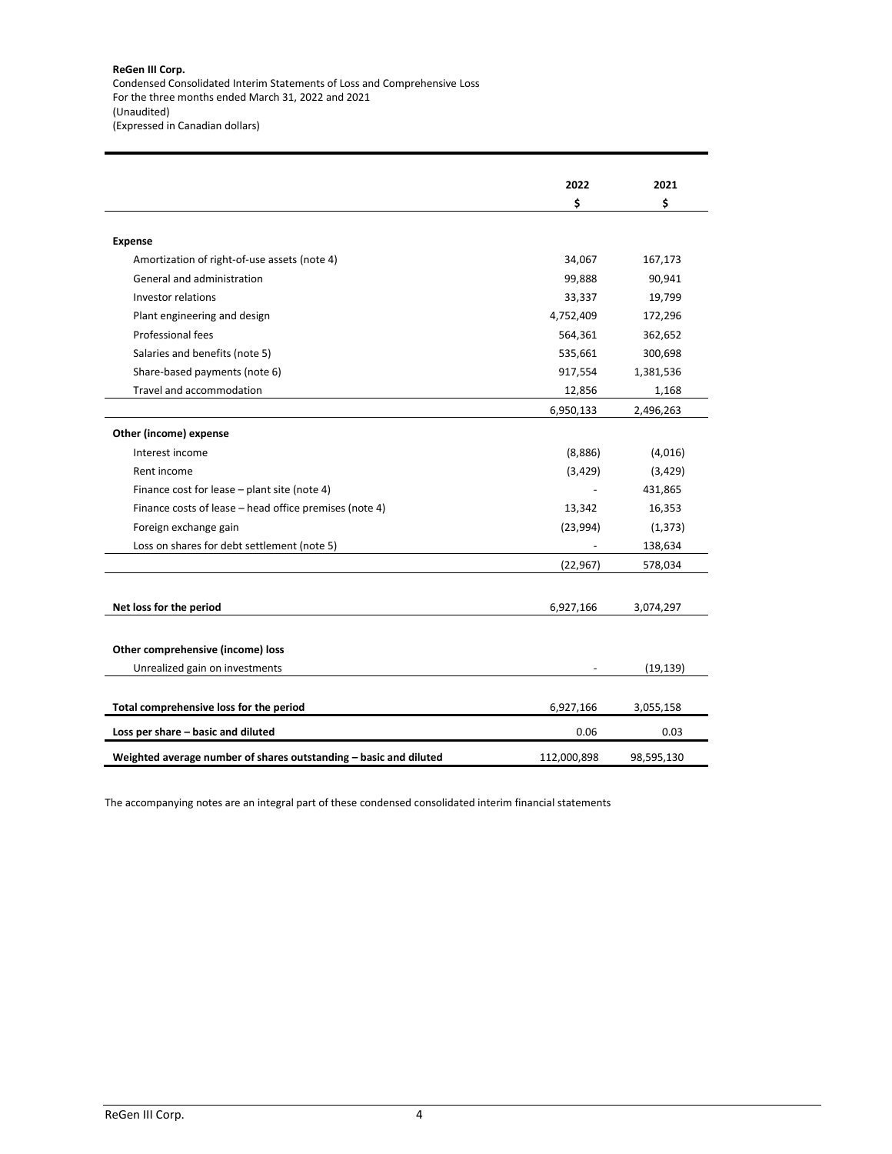|                                                                   | 2022        | 2021       |
|-------------------------------------------------------------------|-------------|------------|
|                                                                   | \$          | \$         |
|                                                                   |             |            |
| <b>Expense</b>                                                    |             |            |
| Amortization of right-of-use assets (note 4)                      | 34,067      | 167,173    |
| General and administration                                        | 99,888      | 90,941     |
| <b>Investor relations</b>                                         | 33,337      | 19,799     |
| Plant engineering and design                                      | 4,752,409   | 172,296    |
| Professional fees                                                 | 564,361     | 362,652    |
| Salaries and benefits (note 5)                                    | 535,661     | 300,698    |
| Share-based payments (note 6)                                     | 917,554     | 1,381,536  |
| Travel and accommodation                                          | 12,856      | 1,168      |
|                                                                   | 6,950,133   | 2,496,263  |
| Other (income) expense                                            |             |            |
| Interest income                                                   | (8,886)     | (4,016)    |
| Rent income                                                       | (3,429)     | (3,429)    |
| Finance cost for lease - plant site (note 4)                      |             | 431,865    |
| Finance costs of lease - head office premises (note 4)            | 13,342      | 16,353     |
| Foreign exchange gain                                             | (23,994)    | (1, 373)   |
| Loss on shares for debt settlement (note 5)                       |             | 138,634    |
|                                                                   | (22, 967)   | 578,034    |
|                                                                   |             |            |
| Net loss for the period                                           | 6,927,166   | 3,074,297  |
|                                                                   |             |            |
| Other comprehensive (income) loss                                 |             |            |
| Unrealized gain on investments                                    |             | (19, 139)  |
| Total comprehensive loss for the period                           | 6,927,166   | 3,055,158  |
| Loss per share - basic and diluted                                | 0.06        | 0.03       |
| Weighted average number of shares outstanding - basic and diluted | 112,000,898 | 98,595,130 |

The accompanying notes are an integral part of these condensed consolidated interim financial statements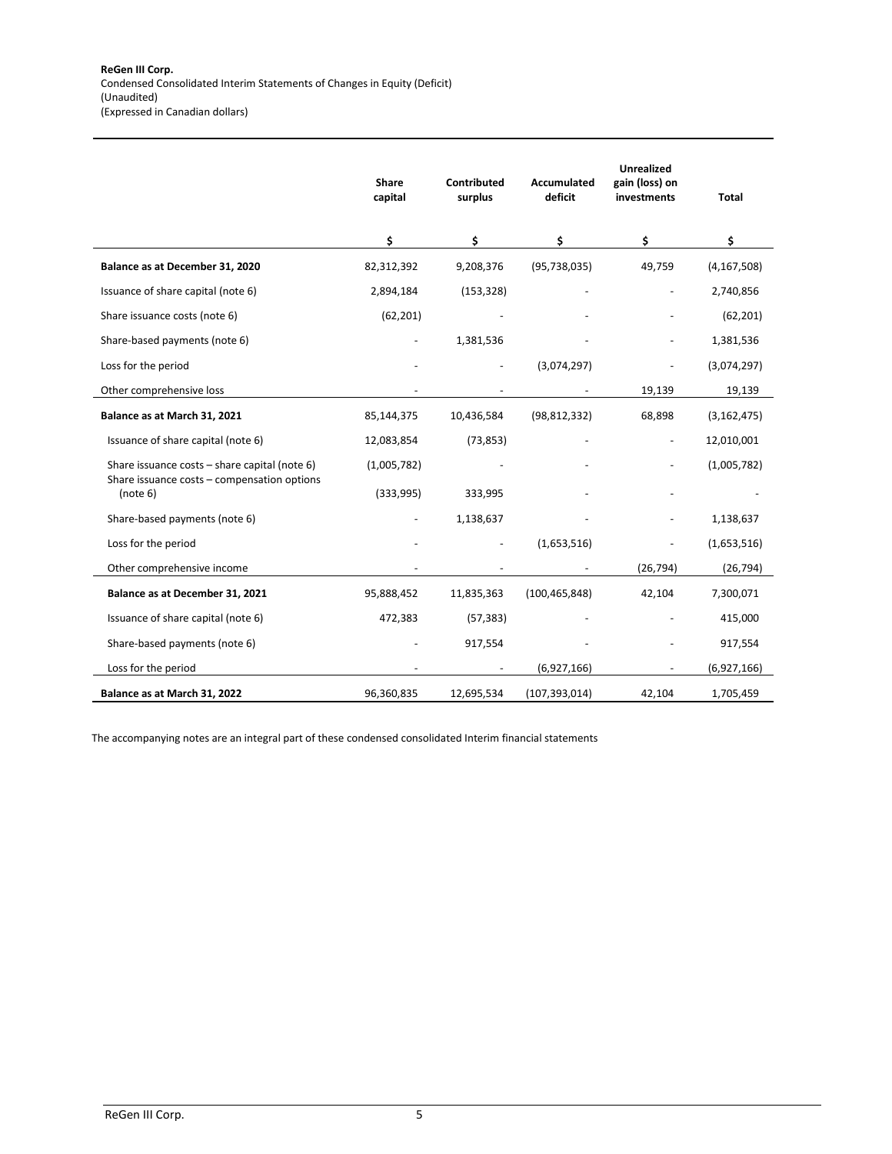|                                                         | Share<br>capital | Contributed<br>surplus | <b>Accumulated</b><br>deficit | <b>Unrealized</b><br>gain (loss) on<br>investments | Total         |
|---------------------------------------------------------|------------------|------------------------|-------------------------------|----------------------------------------------------|---------------|
|                                                         | \$               | \$                     | \$                            | \$                                                 | \$            |
| Balance as at December 31, 2020                         | 82,312,392       | 9,208,376              | (95, 738, 035)                | 49,759                                             | (4, 167, 508) |
| Issuance of share capital (note 6)                      | 2,894,184        | (153, 328)             |                               |                                                    | 2,740,856     |
| Share issuance costs (note 6)                           | (62, 201)        |                        |                               |                                                    | (62, 201)     |
| Share-based payments (note 6)                           |                  | 1,381,536              |                               |                                                    | 1,381,536     |
| Loss for the period                                     |                  |                        | (3,074,297)                   |                                                    | (3,074,297)   |
| Other comprehensive loss                                |                  |                        |                               | 19,139                                             | 19,139        |
| Balance as at March 31, 2021                            | 85,144,375       | 10,436,584             | (98, 812, 332)                | 68,898                                             | (3, 162, 475) |
| Issuance of share capital (note 6)                      | 12,083,854       | (73, 853)              |                               |                                                    | 12,010,001    |
| Share issuance costs - share capital (note 6)           | (1,005,782)      |                        |                               |                                                    | (1,005,782)   |
| Share issuance costs - compensation options<br>(note 6) | (333,995)        | 333,995                |                               |                                                    |               |
| Share-based payments (note 6)                           |                  | 1,138,637              |                               |                                                    | 1,138,637     |
| Loss for the period                                     |                  |                        | (1,653,516)                   |                                                    | (1,653,516)   |
| Other comprehensive income                              |                  |                        |                               | (26, 794)                                          | (26, 794)     |
| Balance as at December 31, 2021                         | 95,888,452       | 11,835,363             | (100, 465, 848)               | 42,104                                             | 7,300,071     |
| Issuance of share capital (note 6)                      | 472,383          | (57, 383)              |                               |                                                    | 415,000       |
| Share-based payments (note 6)                           |                  | 917,554                |                               |                                                    | 917,554       |
| Loss for the period                                     |                  |                        | (6,927,166)                   |                                                    | (6,927,166)   |
| Balance as at March 31, 2022                            | 96,360,835       | 12,695,534             | (107, 393, 014)               | 42,104                                             | 1,705,459     |

The accompanying notes are an integral part of these condensed consolidated Interim financial statements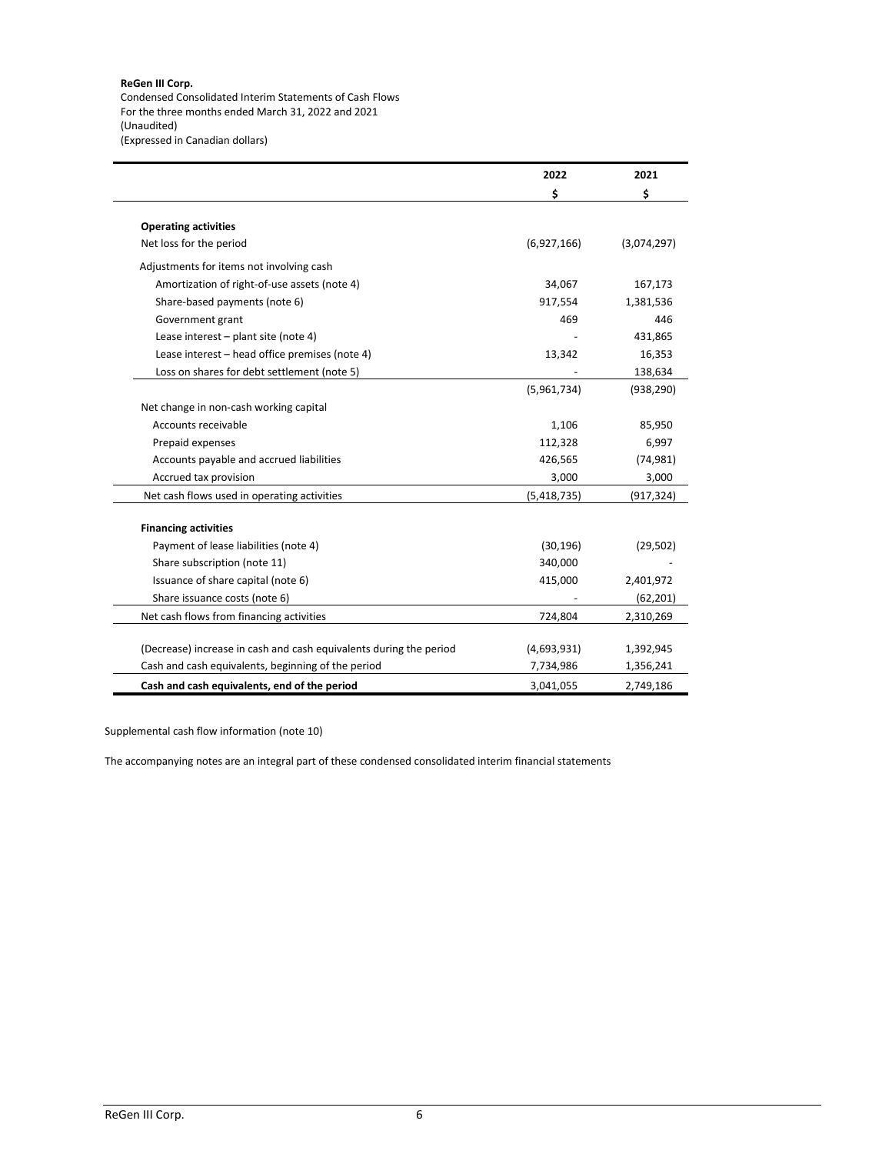#### **ReGen III Corp.**

Condensed Consolidated Interim Statements of Cash Flows For the three months ended March 31, 2022 and 2021 (Unaudited) (Expressed in Canadian dollars)

|                                                                    | 2022        | 2021        |
|--------------------------------------------------------------------|-------------|-------------|
|                                                                    | \$          | \$          |
| <b>Operating activities</b>                                        |             |             |
| Net loss for the period                                            | (6,927,166) | (3,074,297) |
| Adjustments for items not involving cash                           |             |             |
| Amortization of right-of-use assets (note 4)                       | 34,067      | 167,173     |
| Share-based payments (note 6)                                      | 917,554     | 1,381,536   |
| Government grant                                                   | 469         | 446         |
| Lease interest - plant site (note 4)                               |             | 431,865     |
| Lease interest - head office premises (note 4)                     | 13,342      | 16,353      |
| Loss on shares for debt settlement (note 5)                        |             | 138,634     |
|                                                                    | (5,961,734) | (938, 290)  |
| Net change in non-cash working capital                             |             |             |
| Accounts receivable                                                | 1,106       | 85,950      |
| Prepaid expenses                                                   | 112,328     | 6,997       |
| Accounts payable and accrued liabilities                           | 426,565     | (74, 981)   |
| Accrued tax provision                                              | 3,000       | 3,000       |
| Net cash flows used in operating activities                        | (5,418,735) | (917, 324)  |
|                                                                    |             |             |
| <b>Financing activities</b>                                        |             |             |
| Payment of lease liabilities (note 4)                              | (30, 196)   | (29, 502)   |
| Share subscription (note 11)                                       | 340,000     |             |
| Issuance of share capital (note 6)                                 | 415,000     | 2,401,972   |
| Share issuance costs (note 6)                                      |             | (62, 201)   |
| Net cash flows from financing activities                           | 724,804     | 2,310,269   |
|                                                                    |             |             |
| (Decrease) increase in cash and cash equivalents during the period | (4,693,931) | 1,392,945   |
| Cash and cash equivalents, beginning of the period                 | 7,734,986   | 1,356,241   |
| Cash and cash equivalents, end of the period                       | 3,041,055   | 2,749,186   |

Supplemental cash flow information (note 10)

The accompanying notes are an integral part of these condensed consolidated interim financial statements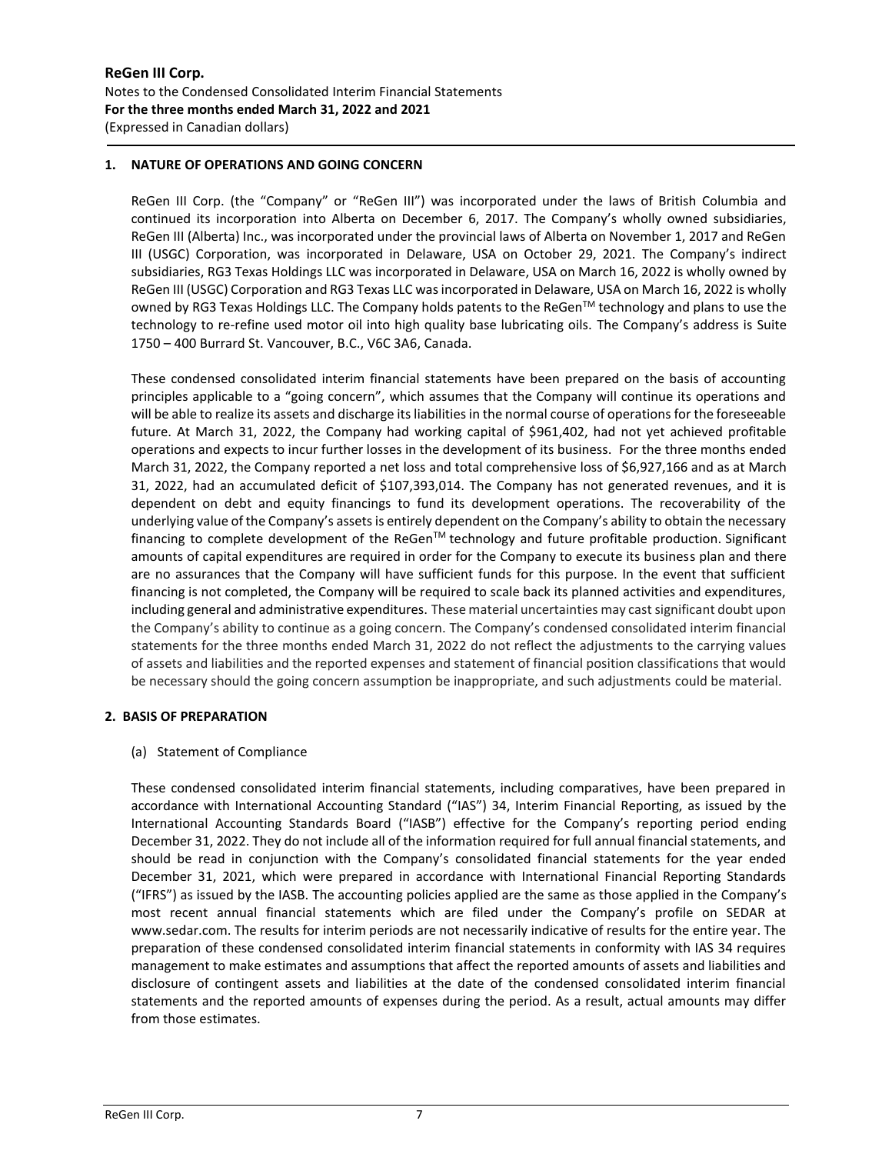# **1. NATURE OF OPERATIONS AND GOING CONCERN**

ReGen III Corp. (the "Company" or "ReGen III") was incorporated under the laws of British Columbia and continued its incorporation into Alberta on December 6, 2017. The Company's wholly owned subsidiaries, ReGen III (Alberta) Inc., was incorporated under the provincial laws of Alberta on November 1, 2017 and ReGen III (USGC) Corporation, was incorporated in Delaware, USA on October 29, 2021. The Company's indirect subsidiaries, RG3 Texas Holdings LLC was incorporated in Delaware, USA on March 16, 2022 is wholly owned by ReGen III (USGC) Corporation and RG3 Texas LLC was incorporated in Delaware, USA on March 16, 2022 is wholly owned by RG3 Texas Holdings LLC. The Company holds patents to the ReGen™ technology and plans to use the technology to re-refine used motor oil into high quality base lubricating oils. The Company's address is Suite 1750 – 400 Burrard St. Vancouver, B.C., V6C 3A6, Canada.

These condensed consolidated interim financial statements have been prepared on the basis of accounting principles applicable to a "going concern", which assumes that the Company will continue its operations and will be able to realize its assets and discharge its liabilities in the normal course of operations for the foreseeable future. At March 31, 2022, the Company had working capital of \$961,402, had not yet achieved profitable operations and expects to incur further losses in the development of its business. For the three months ended March 31, 2022, the Company reported a net loss and total comprehensive loss of \$6,927,166 and as at March 31, 2022, had an accumulated deficit of \$107,393,014. The Company has not generated revenues, and it is dependent on debt and equity financings to fund its development operations. The recoverability of the underlying value of the Company's assets is entirely dependent on the Company's ability to obtain the necessary financing to complete development of the ReGen<sup>TM</sup> technology and future profitable production. Significant amounts of capital expenditures are required in order for the Company to execute its business plan and there are no assurances that the Company will have sufficient funds for this purpose. In the event that sufficient financing is not completed, the Company will be required to scale back its planned activities and expenditures, including general and administrative expenditures. These material uncertainties may cast significant doubt upon the Company's ability to continue as a going concern. The Company's condensed consolidated interim financial statements for the three months ended March 31, 2022 do not reflect the adjustments to the carrying values of assets and liabilities and the reported expenses and statement of financial position classifications that would be necessary should the going concern assumption be inappropriate, and such adjustments could be material.

#### **2. BASIS OF PREPARATION**

#### (a) Statement of Compliance

These condensed consolidated interim financial statements, including comparatives, have been prepared in accordance with International Accounting Standard ("IAS") 34, Interim Financial Reporting, as issued by the International Accounting Standards Board ("IASB") effective for the Company's reporting period ending December 31, 2022. They do not include all of the information required for full annual financial statements, and should be read in conjunction with the Company's consolidated financial statements for the year ended December 31, 2021, which were prepared in accordance with International Financial Reporting Standards ("IFRS") as issued by the IASB. The accounting policies applied are the same as those applied in the Company's most recent annual financial statements which are filed under the Company's profile on SEDAR at www.sedar.com. The results for interim periods are not necessarily indicative of results for the entire year. The preparation of these condensed consolidated interim financial statements in conformity with IAS 34 requires management to make estimates and assumptions that affect the reported amounts of assets and liabilities and disclosure of contingent assets and liabilities at the date of the condensed consolidated interim financial statements and the reported amounts of expenses during the period. As a result, actual amounts may differ from those estimates.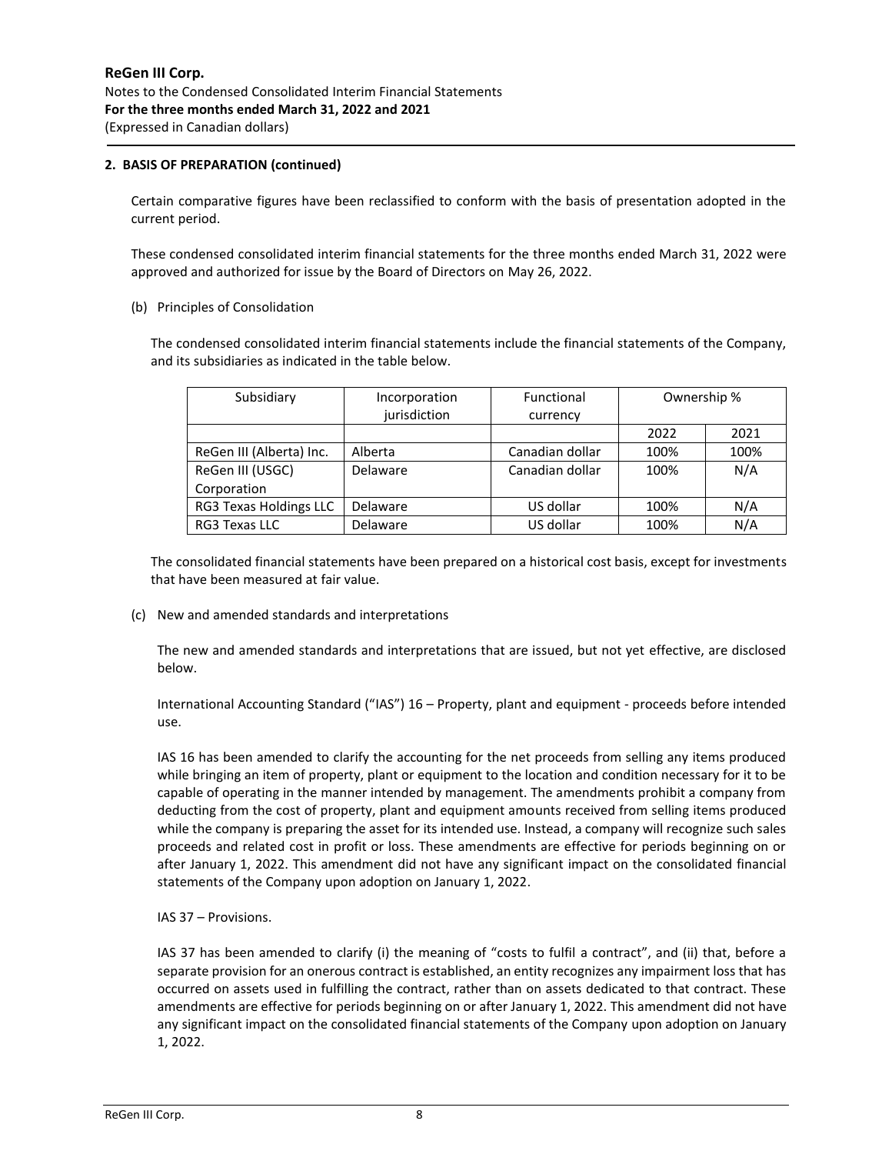## **2. BASIS OF PREPARATION (continued)**

Certain comparative figures have been reclassified to conform with the basis of presentation adopted in the current period.

These condensed consolidated interim financial statements for the three months ended March 31, 2022 were approved and authorized for issue by the Board of Directors on May 26, 2022.

#### (b) Principles of Consolidation

The condensed consolidated interim financial statements include the financial statements of the Company, and its subsidiaries as indicated in the table below.

| Subsidiary               | Incorporation | Functional      | Ownership % |      |
|--------------------------|---------------|-----------------|-------------|------|
|                          | jurisdiction  | currency        |             |      |
|                          |               |                 | 2022        | 2021 |
| ReGen III (Alberta) Inc. | Alberta       | Canadian dollar | 100%        | 100% |
| ReGen III (USGC)         | Delaware      | Canadian dollar | 100%        | N/A  |
| Corporation              |               |                 |             |      |
| RG3 Texas Holdings LLC   | Delaware      | US dollar       | 100%        | N/A  |
| RG3 Texas LLC            | Delaware      | US dollar       | 100%        | N/A  |

The consolidated financial statements have been prepared on a historical cost basis, except for investments that have been measured at fair value.

(c) New and amended standards and interpretations

The new and amended standards and interpretations that are issued, but not yet effective, are disclosed below.

International Accounting Standard ("IAS") 16 – Property, plant and equipment - proceeds before intended use.

IAS 16 has been amended to clarify the accounting for the net proceeds from selling any items produced while bringing an item of property, plant or equipment to the location and condition necessary for it to be capable of operating in the manner intended by management. The amendments prohibit a company from deducting from the cost of property, plant and equipment amounts received from selling items produced while the company is preparing the asset for its intended use. Instead, a company will recognize such sales proceeds and related cost in profit or loss. These amendments are effective for periods beginning on or after January 1, 2022. This amendment did not have any significant impact on the consolidated financial statements of the Company upon adoption on January 1, 2022.

#### IAS 37 – Provisions.

IAS 37 has been amended to clarify (i) the meaning of "costs to fulfil a contract", and (ii) that, before a separate provision for an onerous contract is established, an entity recognizes any impairment loss that has occurred on assets used in fulfilling the contract, rather than on assets dedicated to that contract. These amendments are effective for periods beginning on or after January 1, 2022. This amendment did not have any significant impact on the consolidated financial statements of the Company upon adoption on January 1, 2022.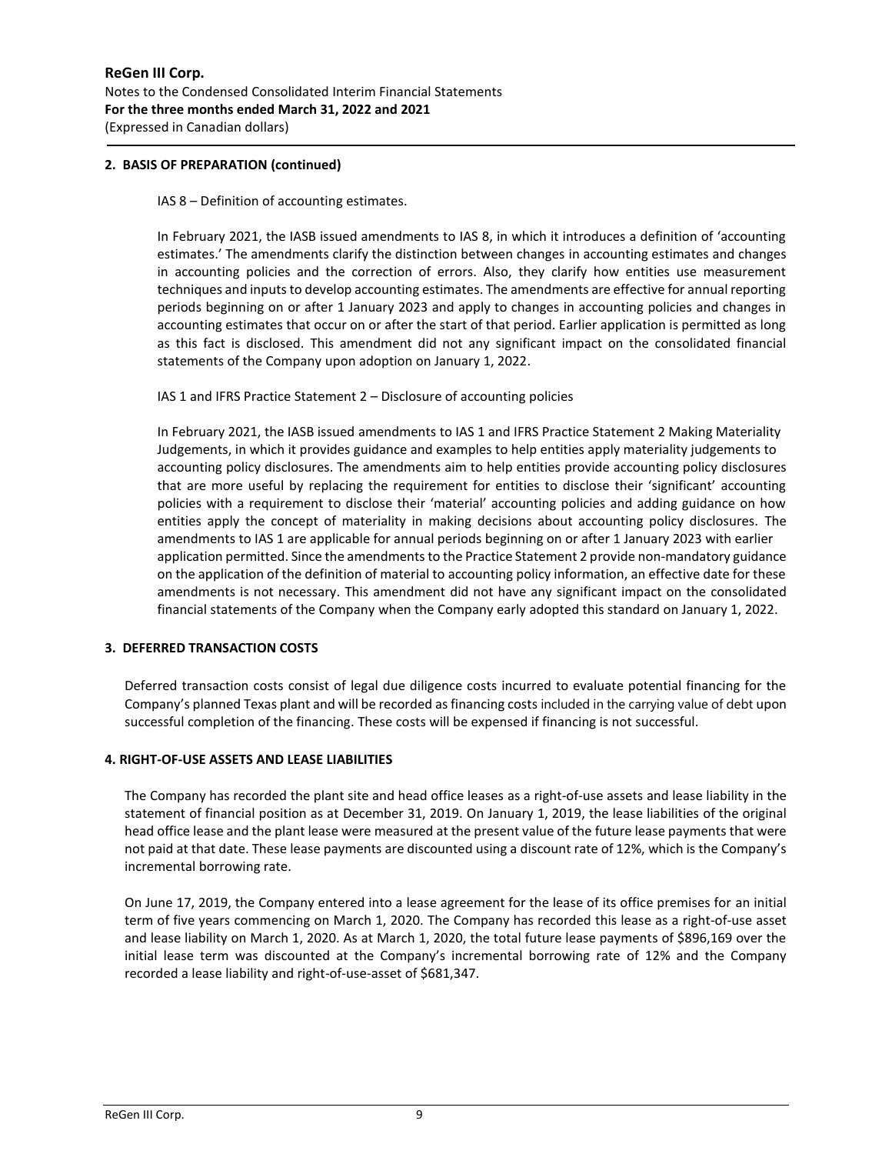## **2. BASIS OF PREPARATION (continued)**

IAS 8 – Definition of accounting estimates.

In February 2021, the IASB issued amendments to IAS 8, in which it introduces a definition of 'accounting estimates.' The amendments clarify the distinction between changes in accounting estimates and changes in accounting policies and the correction of errors. Also, they clarify how entities use measurement techniques and inputs to develop accounting estimates. The amendments are effective for annual reporting periods beginning on or after 1 January 2023 and apply to changes in accounting policies and changes in accounting estimates that occur on or after the start of that period. Earlier application is permitted as long as this fact is disclosed. This amendment did not any significant impact on the consolidated financial statements of the Company upon adoption on January 1, 2022.

IAS 1 and IFRS Practice Statement 2 – Disclosure of accounting policies

In February 2021, the IASB issued amendments to IAS 1 and IFRS Practice Statement 2 Making Materiality Judgements, in which it provides guidance and examples to help entities apply materiality judgements to accounting policy disclosures. The amendments aim to help entities provide accounting policy disclosures that are more useful by replacing the requirement for entities to disclose their 'significant' accounting policies with a requirement to disclose their 'material' accounting policies and adding guidance on how entities apply the concept of materiality in making decisions about accounting policy disclosures. The amendments to IAS 1 are applicable for annual periods beginning on or after 1 January 2023 with earlier application permitted. Since the amendments to the Practice Statement 2 provide non-mandatory guidance on the application of the definition of material to accounting policy information, an effective date for these amendments is not necessary. This amendment did not have any significant impact on the consolidated financial statements of the Company when the Company early adopted this standard on January 1, 2022.

# **3. DEFERRED TRANSACTION COSTS**

Deferred transaction costs consist of legal due diligence costs incurred to evaluate potential financing for the Company's planned Texas plant and will be recorded as financing costs included in the carrying value of debt upon successful completion of the financing. These costs will be expensed if financing is not successful.

## **4. RIGHT-OF-USE ASSETS AND LEASE LIABILITIES**

The Company has recorded the plant site and head office leases as a right-of-use assets and lease liability in the statement of financial position as at December 31, 2019. On January 1, 2019, the lease liabilities of the original head office lease and the plant lease were measured at the present value of the future lease payments that were not paid at that date. These lease payments are discounted using a discount rate of 12%, which is the Company's incremental borrowing rate.

On June 17, 2019, the Company entered into a lease agreement for the lease of its office premises for an initial term of five years commencing on March 1, 2020. The Company has recorded this lease as a right-of-use asset and lease liability on March 1, 2020. As at March 1, 2020, the total future lease payments of \$896,169 over the initial lease term was discounted at the Company's incremental borrowing rate of 12% and the Company recorded a lease liability and right-of-use-asset of \$681,347.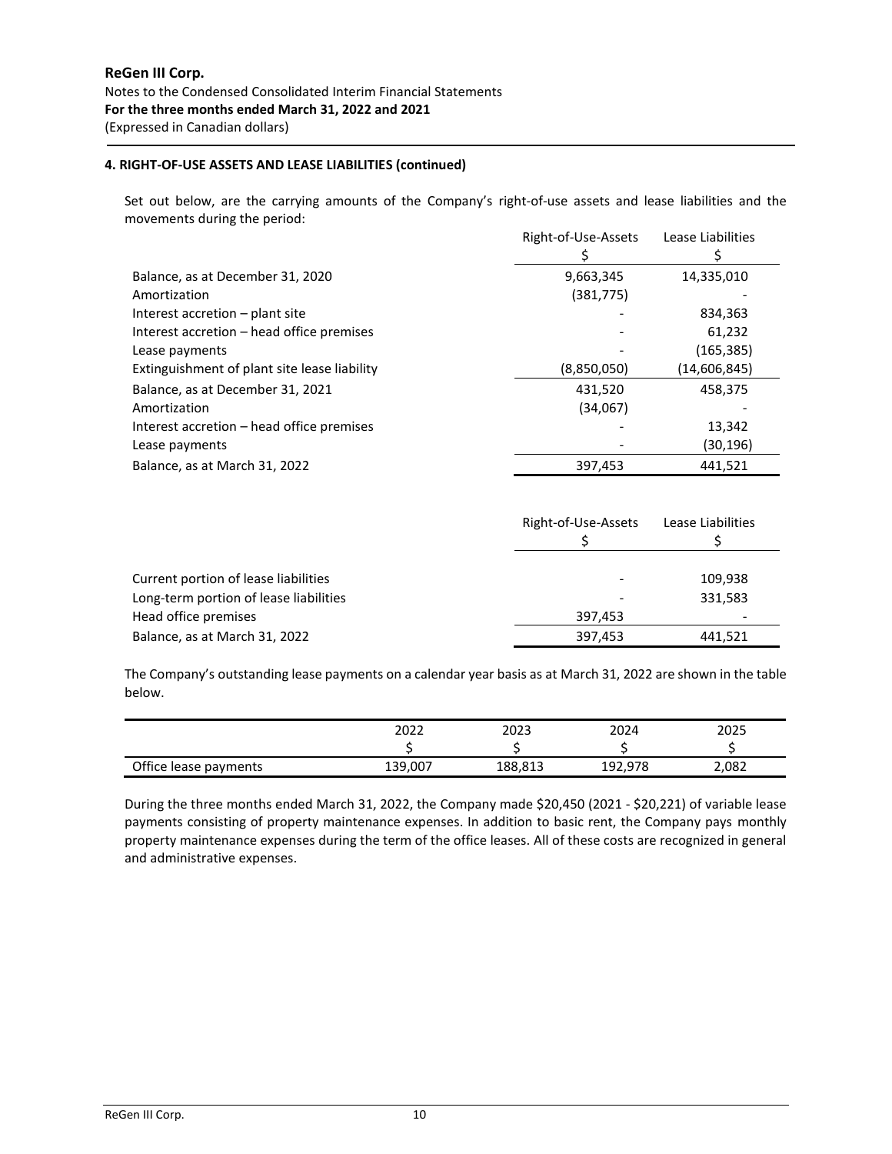## **4. RIGHT-OF-USE ASSETS AND LEASE LIABILITIES (continued)**

Set out below, are the carrying amounts of the Company's right-of-use assets and lease liabilities and the movements during the period:

|                                              | Right-of-Use-Assets | Lease Liabilities |
|----------------------------------------------|---------------------|-------------------|
|                                              |                     |                   |
| Balance, as at December 31, 2020             | 9,663,345           | 14,335,010        |
| Amortization                                 | (381, 775)          |                   |
| Interest accretion – plant site              |                     | 834,363           |
| Interest accretion – head office premises    |                     | 61,232            |
| Lease payments                               |                     | (165, 385)        |
| Extinguishment of plant site lease liability | (8,850,050)         | (14,606,845)      |
| Balance, as at December 31, 2021             | 431,520             | 458,375           |
| Amortization                                 | (34,067)            |                   |
| Interest accretion – head office premises    |                     | 13,342            |
| Lease payments                               |                     | (30,196)          |
| Balance, as at March 31, 2022                | 397,453             | 441,521           |

|                                        | Right-of-Use-Assets<br>Lease Liabilities |         |
|----------------------------------------|------------------------------------------|---------|
|                                        |                                          |         |
| Current portion of lease liabilities   |                                          | 109,938 |
| Long-term portion of lease liabilities |                                          | 331,583 |
| Head office premises                   | 397.453                                  |         |
| Balance, as at March 31, 2022          | 397,453                                  | 441,521 |

The Company's outstanding lease payments on a calendar year basis as at March 31, 2022 are shown in the table below.

|                       | 2022    | 2023    | 2024    | 2025  |
|-----------------------|---------|---------|---------|-------|
|                       |         |         |         |       |
| Office lease payments | 139,007 | 188,813 | 192,978 | 2,082 |

During the three months ended March 31, 2022, the Company made \$20,450 (2021 - \$20,221) of variable lease payments consisting of property maintenance expenses. In addition to basic rent, the Company pays monthly property maintenance expenses during the term of the office leases. All of these costs are recognized in general and administrative expenses.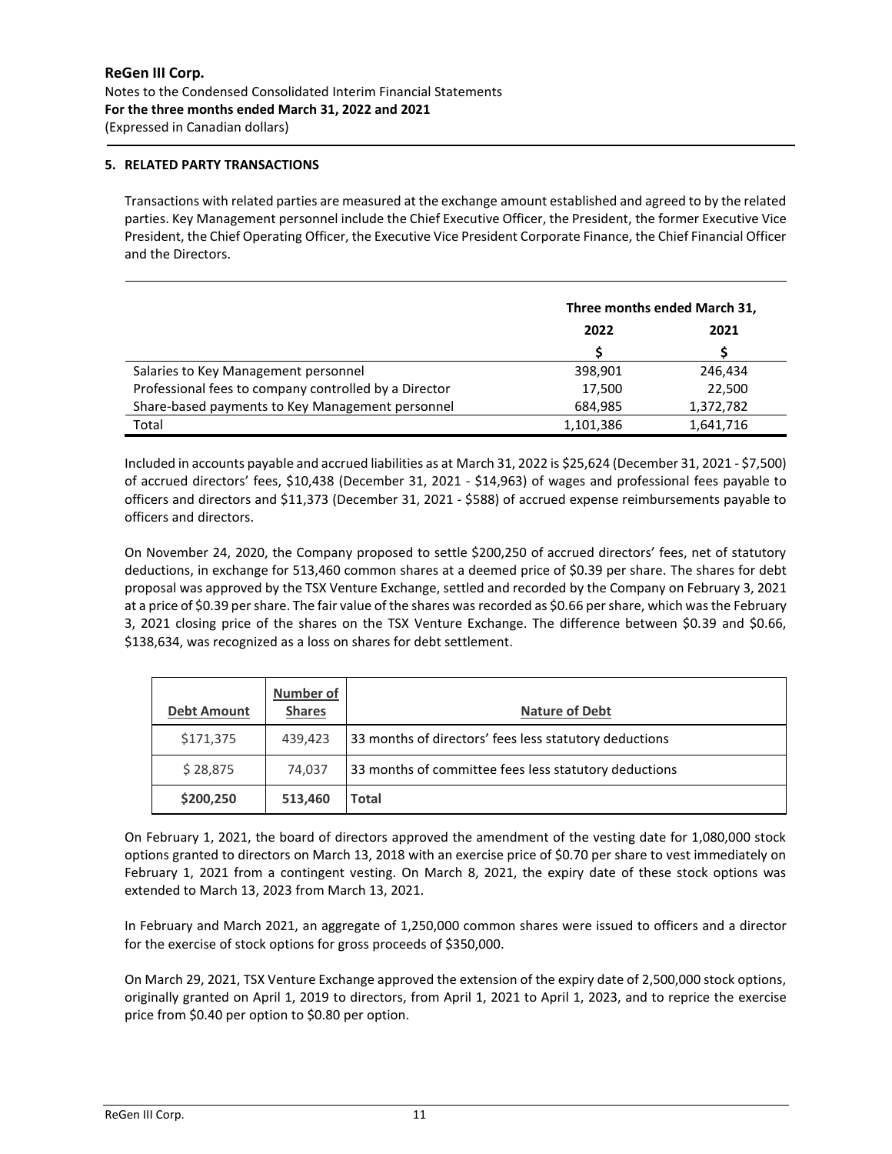# **5. RELATED PARTY TRANSACTIONS**

Transactions with related parties are measured at the exchange amount established and agreed to by the related parties. Key Management personnel include the Chief Executive Officer, the President, the former Executive Vice President, the Chief Operating Officer, the Executive Vice President Corporate Finance, the Chief Financial Officer and the Directors.

|                                                       | Three months ended March 31, |           |
|-------------------------------------------------------|------------------------------|-----------|
|                                                       | 2022                         | 2021      |
|                                                       |                              |           |
| Salaries to Key Management personnel                  | 398,901                      | 246.434   |
| Professional fees to company controlled by a Director | 17,500                       | 22.500    |
| Share-based payments to Key Management personnel      | 684,985                      | 1,372,782 |
| Total                                                 | 1,101,386                    | 1,641,716 |

Included in accounts payable and accrued liabilities as at March 31, 2022 is \$25,624 (December 31, 2021 - \$7,500) of accrued directors' fees, \$10,438 (December 31, 2021 - \$14,963) of wages and professional fees payable to officers and directors and \$11,373 (December 31, 2021 - \$588) of accrued expense reimbursements payable to officers and directors.

On November 24, 2020, the Company proposed to settle \$200,250 of accrued directors' fees, net of statutory deductions, in exchange for 513,460 common shares at a deemed price of \$0.39 per share. The shares for debt proposal was approved by the TSX Venture Exchange, settled and recorded by the Company on February 3, 2021 at a price of \$0.39 per share. The fair value of the shares was recorded as \$0.66 per share, which was the February 3, 2021 closing price of the shares on the TSX Venture Exchange. The difference between \$0.39 and \$0.66, \$138,634, was recognized as a loss on shares for debt settlement.

| <b>Debt Amount</b> | <b>Number of</b><br><b>Shares</b> | <b>Nature of Debt</b>                                  |
|--------------------|-----------------------------------|--------------------------------------------------------|
| \$171,375          | 439,423                           | 33 months of directors' fees less statutory deductions |
| \$28,875           | 74.037                            | 33 months of committee fees less statutory deductions  |
| \$200,250          | 513,460                           | Total                                                  |

On February 1, 2021, the board of directors approved the amendment of the vesting date for 1,080,000 stock options granted to directors on March 13, 2018 with an exercise price of \$0.70 per share to vest immediately on February 1, 2021 from a contingent vesting. On March 8, 2021, the expiry date of these stock options was extended to March 13, 2023 from March 13, 2021.

In February and March 2021, an aggregate of 1,250,000 common shares were issued to officers and a director for the exercise of stock options for gross proceeds of \$350,000.

On March 29, 2021, TSX Venture Exchange approved the extension of the expiry date of 2,500,000 stock options, originally granted on April 1, 2019 to directors, from April 1, 2021 to April 1, 2023, and to reprice the exercise price from \$0.40 per option to \$0.80 per option.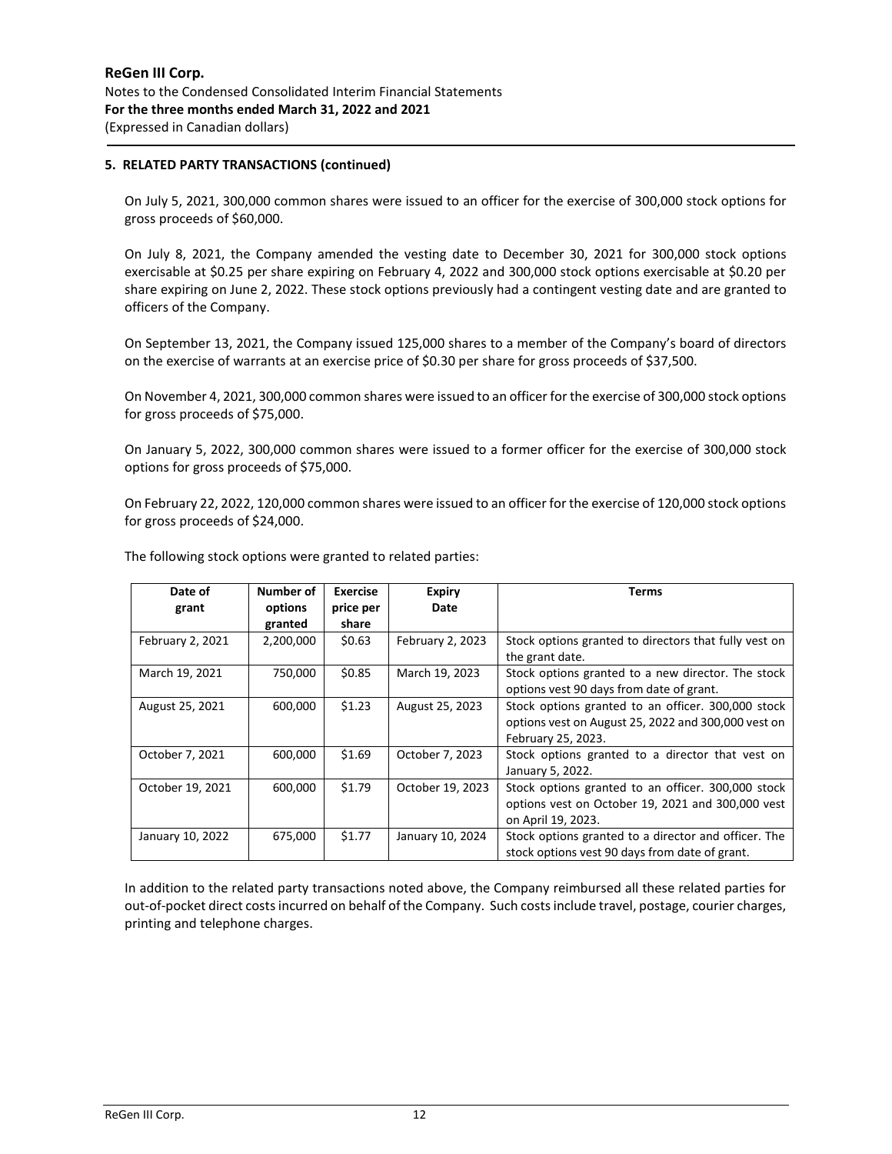## **5. RELATED PARTY TRANSACTIONS (continued)**

On July 5, 2021, 300,000 common shares were issued to an officer for the exercise of 300,000 stock options for gross proceeds of \$60,000.

On July 8, 2021, the Company amended the vesting date to December 30, 2021 for 300,000 stock options exercisable at \$0.25 per share expiring on February 4, 2022 and 300,000 stock options exercisable at \$0.20 per share expiring on June 2, 2022. These stock options previously had a contingent vesting date and are granted to officers of the Company.

On September 13, 2021, the Company issued 125,000 shares to a member of the Company's board of directors on the exercise of warrants at an exercise price of \$0.30 per share for gross proceeds of \$37,500.

On November 4, 2021, 300,000 common shares were issued to an officer for the exercise of 300,000 stock options for gross proceeds of \$75,000.

On January 5, 2022, 300,000 common shares were issued to a former officer for the exercise of 300,000 stock options for gross proceeds of \$75,000.

On February 22, 2022, 120,000 common shares were issued to an officer for the exercise of 120,000 stock options for gross proceeds of \$24,000.

| Date of          | Number of | <b>Exercise</b> | <b>Expiry</b>    | Terms                                                 |
|------------------|-----------|-----------------|------------------|-------------------------------------------------------|
| grant            | options   | price per       | Date             |                                                       |
|                  | granted   | share           |                  |                                                       |
| February 2, 2021 | 2,200,000 | \$0.63          | February 2, 2023 | Stock options granted to directors that fully vest on |
|                  |           |                 |                  | the grant date.                                       |
| March 19, 2021   | 750,000   | \$0.85          | March 19, 2023   | Stock options granted to a new director. The stock    |
|                  |           |                 |                  | options vest 90 days from date of grant.              |
| August 25, 2021  | 600,000   | \$1.23          | August 25, 2023  | Stock options granted to an officer. 300,000 stock    |
|                  |           |                 |                  | options vest on August 25, 2022 and 300,000 vest on   |
|                  |           |                 |                  | February 25, 2023.                                    |
| October 7, 2021  | 600,000   | \$1.69          | October 7, 2023  | Stock options granted to a director that vest on      |
|                  |           |                 |                  | January 5, 2022.                                      |
| October 19, 2021 | 600,000   | \$1.79          | October 19, 2023 | Stock options granted to an officer. 300,000 stock    |
|                  |           |                 |                  | options vest on October 19, 2021 and 300,000 vest     |
|                  |           |                 |                  | on April 19, 2023.                                    |
| January 10, 2022 | 675,000   | \$1.77          | January 10, 2024 | Stock options granted to a director and officer. The  |
|                  |           |                 |                  | stock options vest 90 days from date of grant.        |

The following stock options were granted to related parties:

In addition to the related party transactions noted above, the Company reimbursed all these related parties for out-of-pocket direct costs incurred on behalf of the Company. Such costs include travel, postage, courier charges, printing and telephone charges.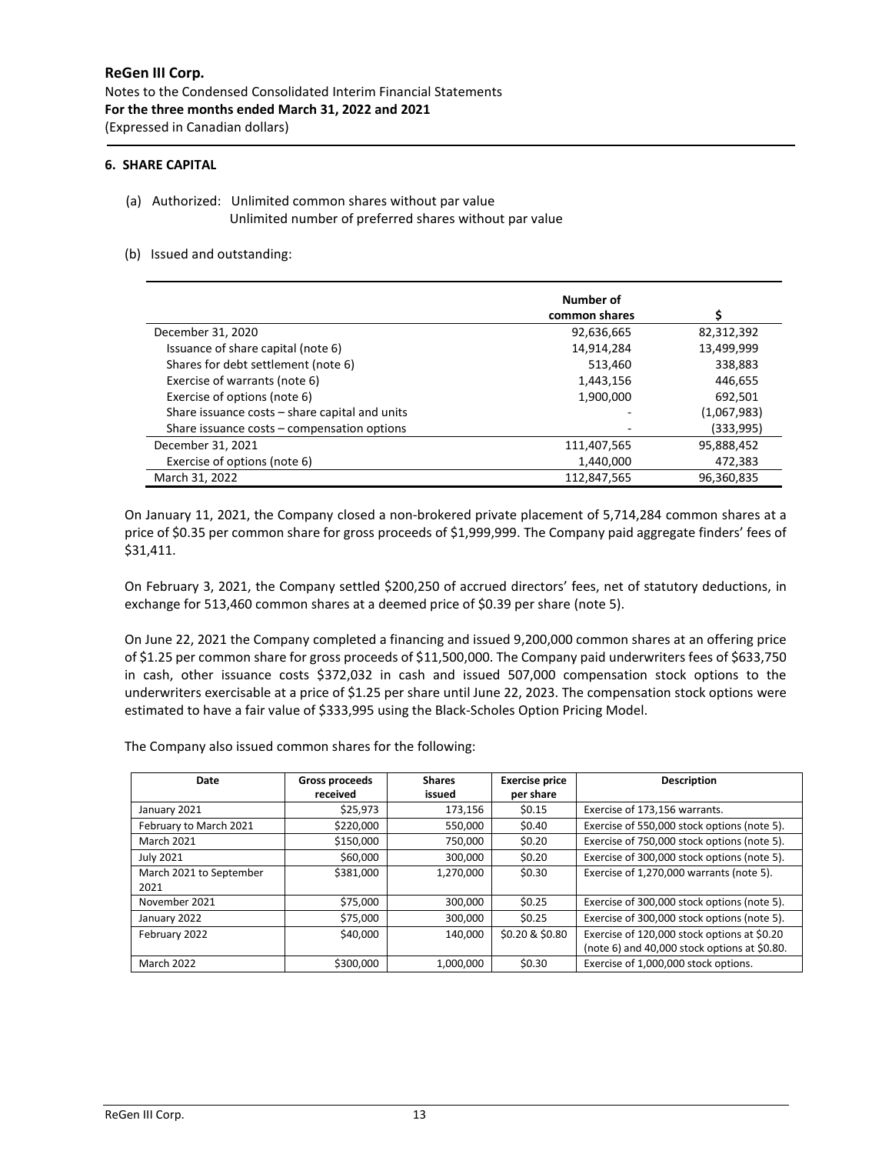#### **6. SHARE CAPITAL**

(a) Authorized: Unlimited common shares without par value Unlimited number of preferred shares without par value

#### (b) Issued and outstanding:

|                                                | Number of     |             |
|------------------------------------------------|---------------|-------------|
|                                                | common shares |             |
| December 31, 2020                              | 92,636,665    | 82,312,392  |
| Issuance of share capital (note 6)             | 14,914,284    | 13,499,999  |
| Shares for debt settlement (note 6)            | 513,460       | 338,883     |
| Exercise of warrants (note 6)                  | 1,443,156     | 446,655     |
| Exercise of options (note 6)                   | 1,900,000     | 692.501     |
| Share issuance costs - share capital and units |               | (1,067,983) |
| Share issuance costs – compensation options    |               | (333,995)   |
| December 31, 2021                              | 111,407,565   | 95,888,452  |
| Exercise of options (note 6)                   | 1,440,000     | 472,383     |
| March 31, 2022                                 | 112,847,565   | 96,360,835  |

On January 11, 2021, the Company closed a non-brokered private placement of 5,714,284 common shares at a price of \$0.35 per common share for gross proceeds of \$1,999,999. The Company paid aggregate finders' fees of \$31,411.

On February 3, 2021, the Company settled \$200,250 of accrued directors' fees, net of statutory deductions, in exchange for 513,460 common shares at a deemed price of \$0.39 per share (note 5).

On June 22, 2021 the Company completed a financing and issued 9,200,000 common shares at an offering price of \$1.25 per common share for gross proceeds of \$11,500,000. The Company paid underwriters fees of \$633,750 in cash, other issuance costs \$372,032 in cash and issued 507,000 compensation stock options to the underwriters exercisable at a price of \$1.25 per share until June 22, 2023. The compensation stock options were estimated to have a fair value of \$333,995 using the Black-Scholes Option Pricing Model.

The Company also issued common shares for the following:

| Date                    | Gross proceeds | <b>Shares</b> | <b>Exercise price</b> | <b>Description</b>                           |
|-------------------------|----------------|---------------|-----------------------|----------------------------------------------|
|                         | received       | issued        | per share             |                                              |
| January 2021            | \$25,973       | 173,156       | \$0.15                | Exercise of 173,156 warrants.                |
| February to March 2021  | \$220,000      | 550,000       | \$0.40                | Exercise of 550,000 stock options (note 5).  |
| <b>March 2021</b>       | \$150,000      | 750.000       | \$0.20                | Exercise of 750,000 stock options (note 5).  |
| <b>July 2021</b>        | \$60,000       | 300,000       | \$0.20                | Exercise of 300,000 stock options (note 5).  |
| March 2021 to September | \$381,000      | 1,270,000     | \$0.30                | Exercise of 1,270,000 warrants (note 5).     |
| 2021                    |                |               |                       |                                              |
| November 2021           | \$75,000       | 300.000       | \$0.25                | Exercise of 300,000 stock options (note 5).  |
| January 2022            | \$75,000       | 300,000       | \$0.25                | Exercise of 300,000 stock options (note 5).  |
| February 2022           | \$40,000       | 140.000       | \$0.20 & \$0.80       | Exercise of 120,000 stock options at \$0.20  |
|                         |                |               |                       | (note 6) and 40,000 stock options at \$0.80. |
| <b>March 2022</b>       | \$300,000      | 1.000.000     | \$0.30                | Exercise of 1.000.000 stock options.         |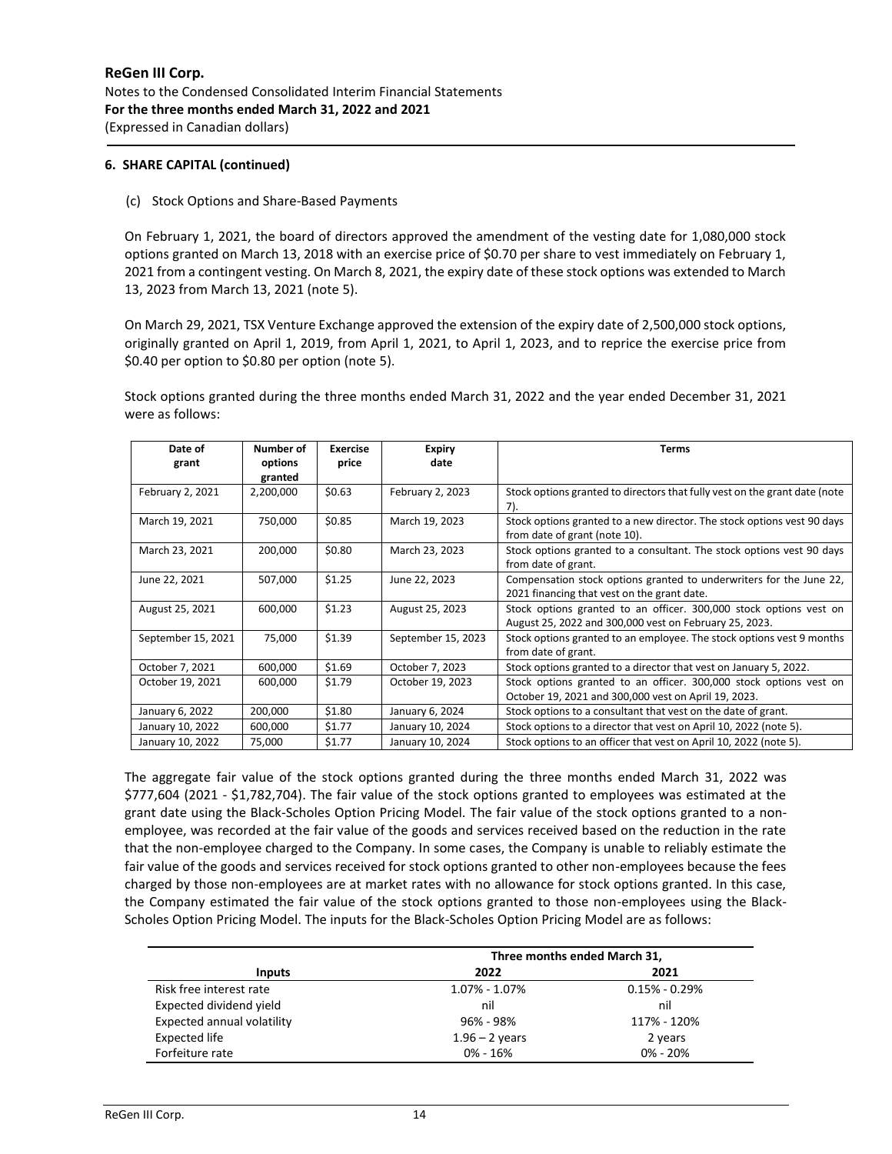## **6. SHARE CAPITAL (continued)**

## (c) Stock Options and Share-Based Payments

On February 1, 2021, the board of directors approved the amendment of the vesting date for 1,080,000 stock options granted on March 13, 2018 with an exercise price of \$0.70 per share to vest immediately on February 1, 2021 from a contingent vesting. On March 8, 2021, the expiry date of these stock options was extended to March 13, 2023 from March 13, 2021 (note 5).

On March 29, 2021, TSX Venture Exchange approved the extension of the expiry date of 2,500,000 stock options, originally granted on April 1, 2019, from April 1, 2021, to April 1, 2023, and to reprice the exercise price from \$0.40 per option to \$0.80 per option (note 5).

Stock options granted during the three months ended March 31, 2022 and the year ended December 31, 2021 were as follows:

| Date of<br>grant   | Number of<br>options | <b>Exercise</b><br>price | <b>Expiry</b><br>date | <b>Terms</b>                                                                                                                 |
|--------------------|----------------------|--------------------------|-----------------------|------------------------------------------------------------------------------------------------------------------------------|
|                    | granted              |                          |                       |                                                                                                                              |
| February 2, 2021   | 2,200,000            | \$0.63                   | February 2, 2023      | Stock options granted to directors that fully vest on the grant date (note<br>7).                                            |
| March 19, 2021     | 750,000              | \$0.85                   | March 19, 2023        | Stock options granted to a new director. The stock options vest 90 days<br>from date of grant (note 10).                     |
| March 23, 2021     | 200,000              | \$0.80                   | March 23, 2023        | Stock options granted to a consultant. The stock options vest 90 days<br>from date of grant.                                 |
| June 22, 2021      | 507,000              | \$1.25                   | June 22, 2023         | Compensation stock options granted to underwriters for the June 22,<br>2021 financing that vest on the grant date.           |
| August 25, 2021    | 600,000              | \$1.23                   | August 25, 2023       | Stock options granted to an officer. 300,000 stock options vest on<br>August 25, 2022 and 300,000 vest on February 25, 2023. |
| September 15, 2021 | 75,000               | \$1.39                   | September 15, 2023    | Stock options granted to an employee. The stock options vest 9 months<br>from date of grant.                                 |
| October 7, 2021    | 600,000              | \$1.69                   | October 7, 2023       | Stock options granted to a director that vest on January 5, 2022.                                                            |
| October 19, 2021   | 600,000              | \$1.79                   | October 19, 2023      | Stock options granted to an officer. 300,000 stock options vest on                                                           |
|                    |                      |                          |                       | October 19, 2021 and 300,000 vest on April 19, 2023.                                                                         |
| January 6, 2022    | 200,000              | \$1.80                   | January 6, 2024       | Stock options to a consultant that vest on the date of grant.                                                                |
| January 10, 2022   | 600,000              | \$1.77                   | January 10, 2024      | Stock options to a director that vest on April 10, 2022 (note 5).                                                            |
| January 10, 2022   | 75,000               | \$1.77                   | January 10, 2024      | Stock options to an officer that vest on April 10, 2022 (note 5).                                                            |

The aggregate fair value of the stock options granted during the three months ended March 31, 2022 was \$777,604 (2021 - \$1,782,704). The fair value of the stock options granted to employees was estimated at the grant date using the Black-Scholes Option Pricing Model. The fair value of the stock options granted to a nonemployee, was recorded at the fair value of the goods and services received based on the reduction in the rate that the non-employee charged to the Company. In some cases, the Company is unable to reliably estimate the fair value of the goods and services received for stock options granted to other non-employees because the fees charged by those non-employees are at market rates with no allowance for stock options granted. In this case, the Company estimated the fair value of the stock options granted to those non-employees using the Black-Scholes Option Pricing Model. The inputs for the Black-Scholes Option Pricing Model are as follows:

|                                   | Three months ended March 31, |                   |
|-----------------------------------|------------------------------|-------------------|
| <b>Inputs</b>                     | 2022                         | 2021              |
| Risk free interest rate           | $1.07\% - 1.07\%$            | $0.15\% - 0.29\%$ |
| Expected dividend yield           | nil                          | nil               |
| <b>Expected annual volatility</b> | 96% - 98%                    | 117% - 120%       |
| Expected life                     | $1.96 - 2$ years             | 2 years           |
| Forfeiture rate                   | $0\% - 16\%$                 | $0\% - 20\%$      |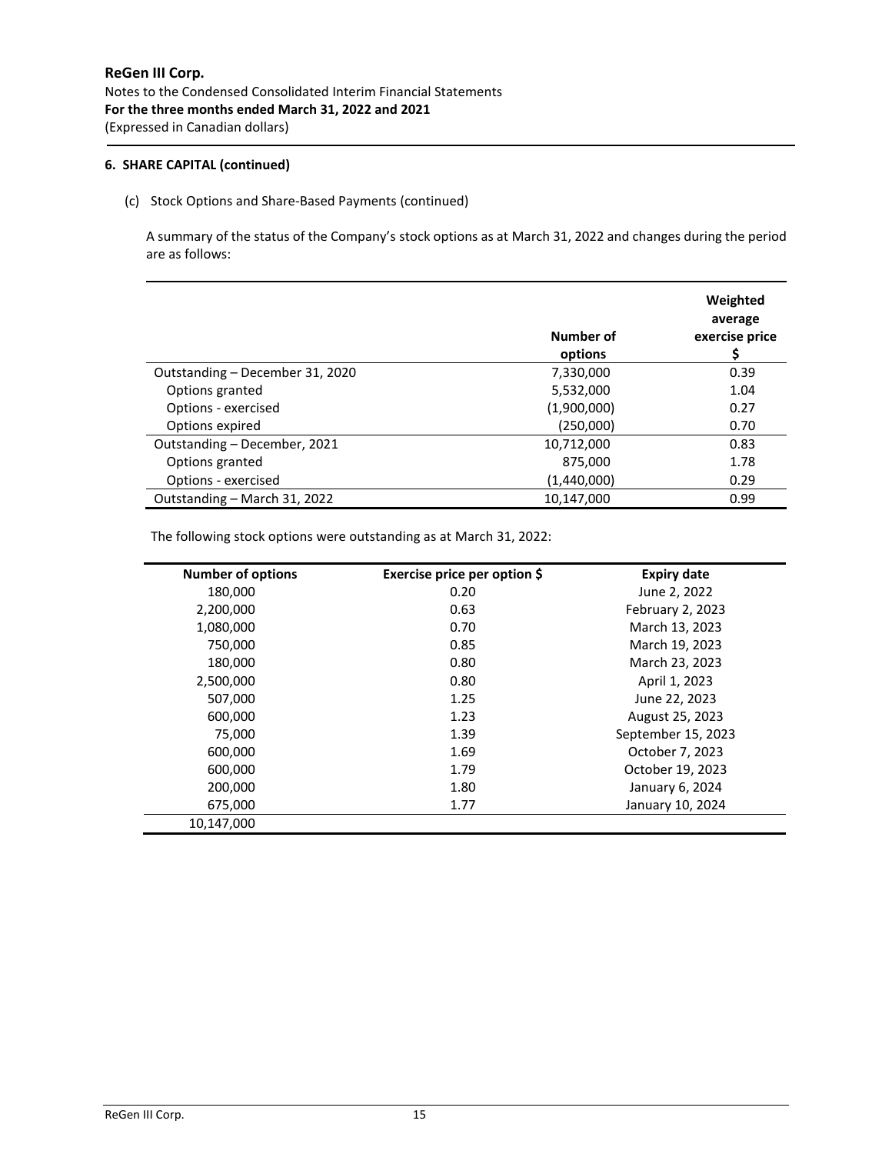## **6. SHARE CAPITAL (continued)**

# (c) Stock Options and Share-Based Payments (continued)

A summary of the status of the Company's stock options as at March 31, 2022 and changes during the period are as follows:

|                                 | Number of<br>options | Weighted<br>average<br>exercise price |
|---------------------------------|----------------------|---------------------------------------|
| Outstanding - December 31, 2020 | 7,330,000            | 0.39                                  |
| Options granted                 | 5,532,000            | 1.04                                  |
| Options - exercised             | (1,900,000)          | 0.27                                  |
| Options expired                 | (250,000)            | 0.70                                  |
| Outstanding - December, 2021    | 10,712,000           | 0.83                                  |
| Options granted                 | 875,000              | 1.78                                  |
| Options - exercised             | (1,440,000)          | 0.29                                  |
| Outstanding - March 31, 2022    | 10,147,000           | 0.99                                  |

The following stock options were outstanding as at March 31, 2022:

| <b>Number of options</b> | Exercise price per option \$ | <b>Expiry date</b> |
|--------------------------|------------------------------|--------------------|
| 180,000                  | 0.20                         | June 2, 2022       |
| 2,200,000                | 0.63                         | February 2, 2023   |
| 1,080,000                | 0.70                         | March 13, 2023     |
| 750,000                  | 0.85                         | March 19, 2023     |
| 180,000                  | 0.80                         | March 23, 2023     |
| 2,500,000                | 0.80                         | April 1, 2023      |
| 507,000                  | 1.25                         | June 22, 2023      |
| 600,000                  | 1.23                         | August 25, 2023    |
| 75,000                   | 1.39                         | September 15, 2023 |
| 600,000                  | 1.69                         | October 7, 2023    |
| 600,000                  | 1.79                         | October 19, 2023   |
| 200,000                  | 1.80                         | January 6, 2024    |
| 675,000                  | 1.77                         | January 10, 2024   |
| 10.147.000               |                              |                    |

j.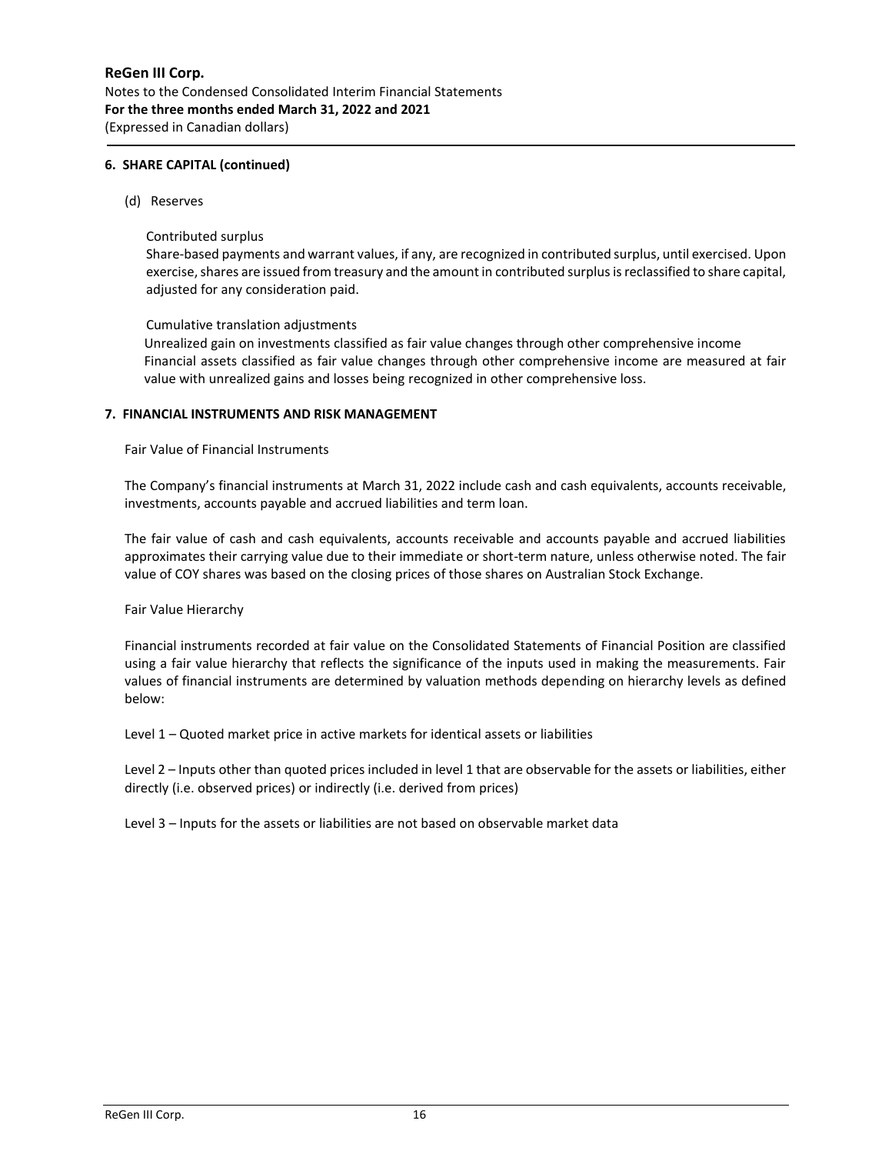## **6. SHARE CAPITAL (continued)**

(d) Reserves

## Contributed surplus

Share-based payments and warrant values, if any, are recognized in contributed surplus, until exercised. Upon exercise, shares are issued from treasury and the amount in contributed surplus is reclassified to share capital, adjusted for any consideration paid.

## Cumulative translation adjustments

Unrealized gain on investments classified as fair value changes through other comprehensive income Financial assets classified as fair value changes through other comprehensive income are measured at fair value with unrealized gains and losses being recognized in other comprehensive loss.

## **7. FINANCIAL INSTRUMENTS AND RISK MANAGEMENT**

Fair Value of Financial Instruments

The Company's financial instruments at March 31, 2022 include cash and cash equivalents, accounts receivable, investments, accounts payable and accrued liabilities and term loan.

The fair value of cash and cash equivalents, accounts receivable and accounts payable and accrued liabilities approximates their carrying value due to their immediate or short-term nature, unless otherwise noted. The fair value of COY shares was based on the closing prices of those shares on Australian Stock Exchange.

#### Fair Value Hierarchy

Financial instruments recorded at fair value on the Consolidated Statements of Financial Position are classified using a fair value hierarchy that reflects the significance of the inputs used in making the measurements. Fair values of financial instruments are determined by valuation methods depending on hierarchy levels as defined below:

Level 1 – Quoted market price in active markets for identical assets or liabilities

Level 2 – Inputs other than quoted prices included in level 1 that are observable for the assets or liabilities, either directly (i.e. observed prices) or indirectly (i.e. derived from prices)

Level 3 – Inputs for the assets or liabilities are not based on observable market data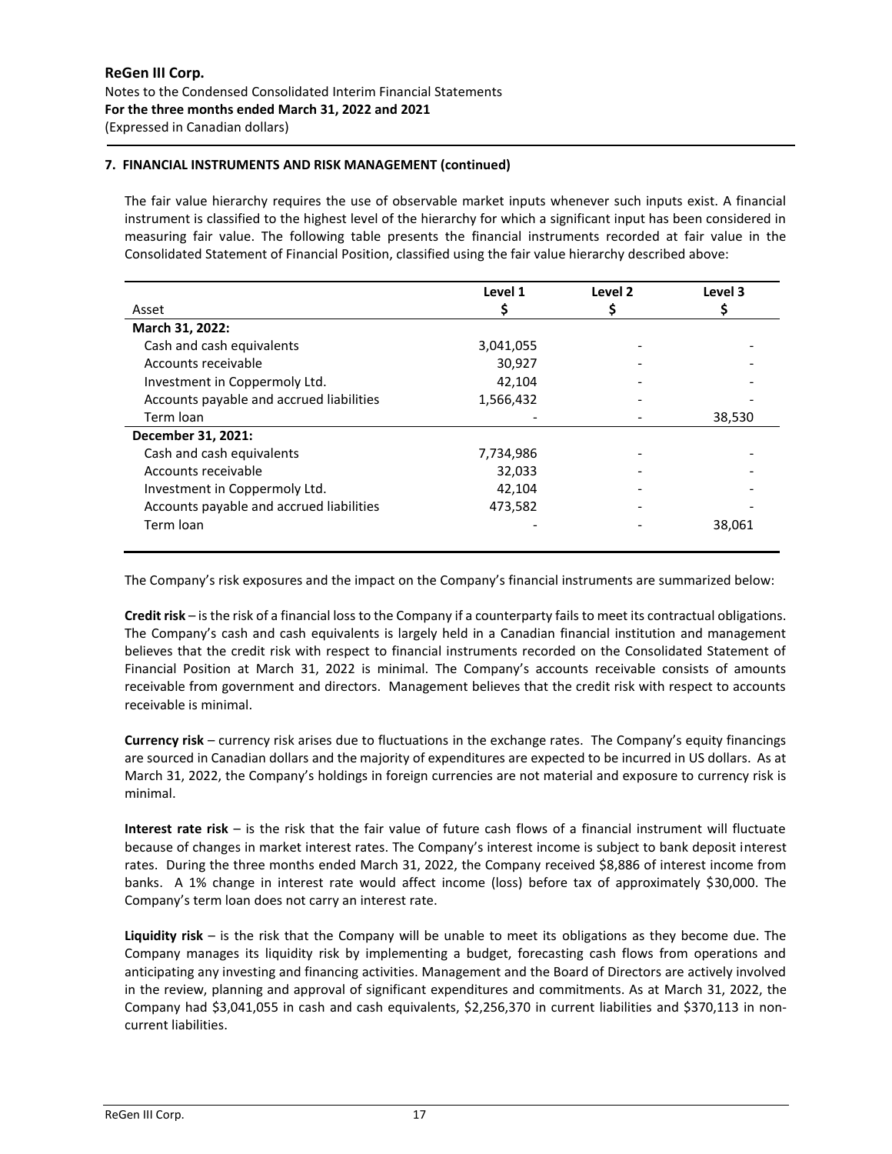# **7. FINANCIAL INSTRUMENTS AND RISK MANAGEMENT (continued)**

The fair value hierarchy requires the use of observable market inputs whenever such inputs exist. A financial instrument is classified to the highest level of the hierarchy for which a significant input has been considered in measuring fair value. The following table presents the financial instruments recorded at fair value in the Consolidated Statement of Financial Position, classified using the fair value hierarchy described above:

|                                          | Level 1   | Level 2 | Level 3 |
|------------------------------------------|-----------|---------|---------|
| Asset                                    |           |         | Ş       |
| March 31, 2022:                          |           |         |         |
| Cash and cash equivalents                | 3,041,055 |         |         |
| Accounts receivable                      | 30,927    |         |         |
| Investment in Coppermoly Ltd.            | 42,104    |         |         |
| Accounts payable and accrued liabilities | 1,566,432 |         |         |
| Term loan                                |           |         | 38,530  |
| December 31, 2021:                       |           |         |         |
| Cash and cash equivalents                | 7,734,986 |         |         |
| Accounts receivable                      | 32,033    |         |         |
| Investment in Coppermoly Ltd.            | 42,104    |         |         |
| Accounts payable and accrued liabilities | 473,582   |         |         |
| Term loan                                |           |         | 38,061  |

The Company's risk exposures and the impact on the Company's financial instruments are summarized below:

**Credit risk** – is the risk of a financial loss to the Company if a counterparty fails to meet its contractual obligations. The Company's cash and cash equivalents is largely held in a Canadian financial institution and management believes that the credit risk with respect to financial instruments recorded on the Consolidated Statement of Financial Position at March 31, 2022 is minimal. The Company's accounts receivable consists of amounts receivable from government and directors. Management believes that the credit risk with respect to accounts receivable is minimal.

**Currency risk** – currency risk arises due to fluctuations in the exchange rates. The Company's equity financings are sourced in Canadian dollars and the majority of expenditures are expected to be incurred in US dollars. As at March 31, 2022, the Company's holdings in foreign currencies are not material and exposure to currency risk is minimal.

**Interest rate risk** – is the risk that the fair value of future cash flows of a financial instrument will fluctuate because of changes in market interest rates. The Company's interest income is subject to bank deposit interest rates. During the three months ended March 31, 2022, the Company received \$8,886 of interest income from banks. A 1% change in interest rate would affect income (loss) before tax of approximately \$30,000. The Company's term loan does not carry an interest rate.

**Liquidity risk** – is the risk that the Company will be unable to meet its obligations as they become due. The Company manages its liquidity risk by implementing a budget, forecasting cash flows from operations and anticipating any investing and financing activities. Management and the Board of Directors are actively involved in the review, planning and approval of significant expenditures and commitments. As at March 31, 2022, the Company had \$3,041,055 in cash and cash equivalents, \$2,256,370 in current liabilities and \$370,113 in noncurrent liabilities.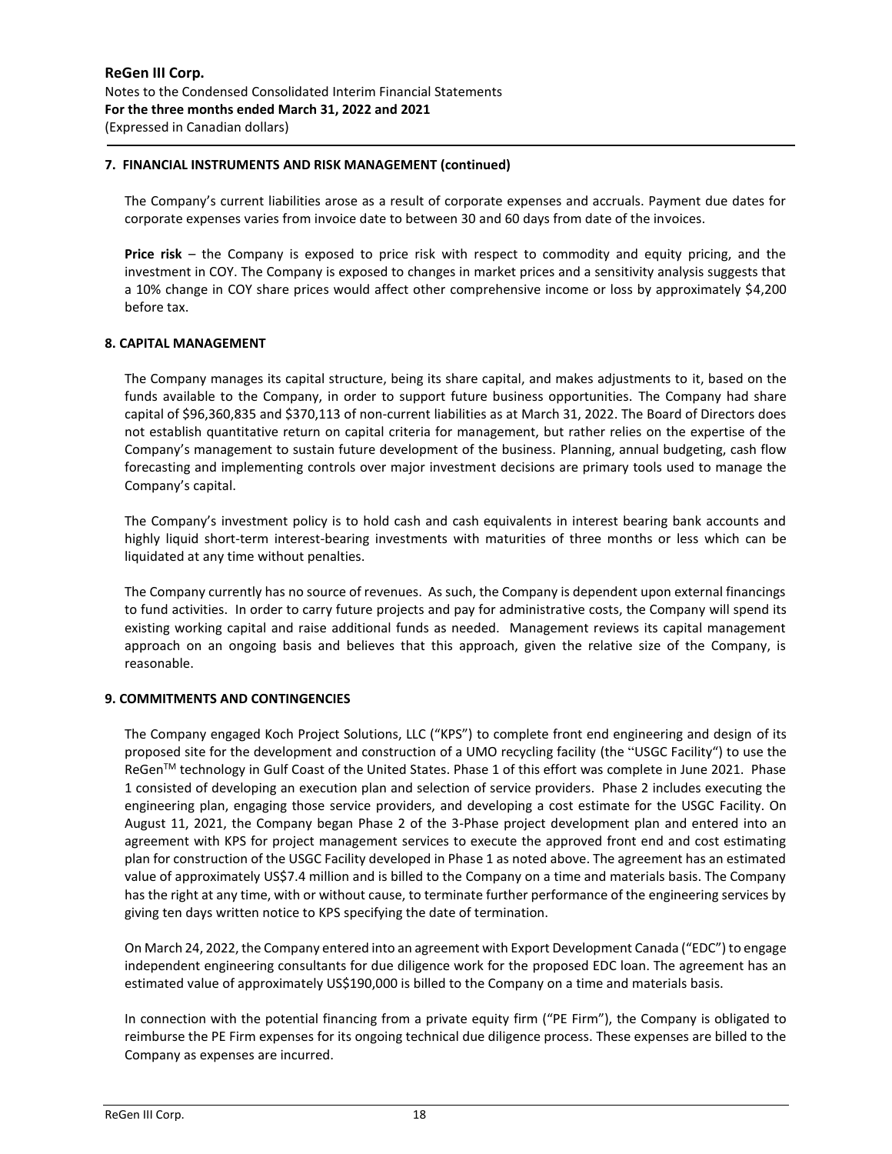## **7. FINANCIAL INSTRUMENTS AND RISK MANAGEMENT (continued)**

The Company's current liabilities arose as a result of corporate expenses and accruals. Payment due dates for corporate expenses varies from invoice date to between 30 and 60 days from date of the invoices.

**Price risk** – the Company is exposed to price risk with respect to commodity and equity pricing, and the investment in COY. The Company is exposed to changes in market prices and a sensitivity analysis suggests that a 10% change in COY share prices would affect other comprehensive income or loss by approximately \$4,200 before tax.

## **8. CAPITAL MANAGEMENT**

The Company manages its capital structure, being its share capital, and makes adjustments to it, based on the funds available to the Company, in order to support future business opportunities. The Company had share capital of \$96,360,835 and \$370,113 of non-current liabilities as at March 31, 2022. The Board of Directors does not establish quantitative return on capital criteria for management, but rather relies on the expertise of the Company's management to sustain future development of the business. Planning, annual budgeting, cash flow forecasting and implementing controls over major investment decisions are primary tools used to manage the Company's capital.

The Company's investment policy is to hold cash and cash equivalents in interest bearing bank accounts and highly liquid short-term interest-bearing investments with maturities of three months or less which can be liquidated at any time without penalties.

The Company currently has no source of revenues. As such, the Company is dependent upon external financings to fund activities. In order to carry future projects and pay for administrative costs, the Company will spend its existing working capital and raise additional funds as needed. Management reviews its capital management approach on an ongoing basis and believes that this approach, given the relative size of the Company, is reasonable.

# **9. COMMITMENTS AND CONTINGENCIES**

The Company engaged Koch Project Solutions, LLC ("KPS") to complete front end engineering and design of its proposed site for the development and construction of a UMO recycling facility (the "USGC Facility") to use the ReGen™ technology in Gulf Coast of the United States. Phase 1 of this effort was complete in June 2021. Phase 1 consisted of developing an execution plan and selection of service providers. Phase 2 includes executing the engineering plan, engaging those service providers, and developing a cost estimate for the USGC Facility. On August 11, 2021, the Company began Phase 2 of the 3-Phase project development plan and entered into an agreement with KPS for project management services to execute the approved front end and cost estimating plan for construction of the USGC Facility developed in Phase 1 as noted above. The agreement has an estimated value of approximately US\$7.4 million and is billed to the Company on a time and materials basis. The Company has the right at any time, with or without cause, to terminate further performance of the engineering services by giving ten days written notice to KPS specifying the date of termination.

On March 24, 2022, the Company entered into an agreement with Export Development Canada ("EDC") to engage independent engineering consultants for due diligence work for the proposed EDC loan. The agreement has an estimated value of approximately US\$190,000 is billed to the Company on a time and materials basis.

In connection with the potential financing from a private equity firm ("PE Firm"), the Company is obligated to reimburse the PE Firm expenses for its ongoing technical due diligence process. These expenses are billed to the Company as expenses are incurred.